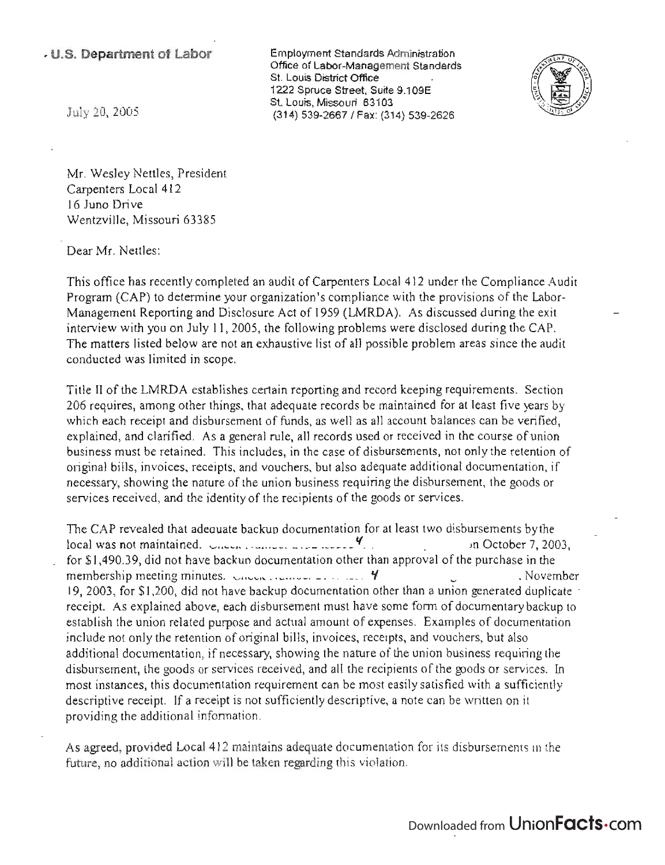## <sup>~</sup>**u.s. Department of Labor**

 $\mathcal{L} = \mathcal{L} \times \mathcal{L} = \mathcal{L} \times \mathcal{L} = \mathcal{L} \times \mathcal{L} = \mathcal{L} \times \mathcal{L}$ Inprovinent Standards Administration<br>Γεννότα Office of Labor-Management Standards<br>St. Louis District Office  $1222$  Suite Street, Suite 9.1 09.1 09.1 09.1  $\sim$ St. Louis, Missouri 63103 St. Louis, Missouri 63103<br>(314) 539-2667 / Fax: (314) 539-2626



July 20, 2005

Mr. Wesley Nettles, President Carpenters Local 412 16 Juno Drive Wentzville, Missouri 63385

Dear Mr. Nettles:

This office has recently completed an audit of Carpenters Local 412 under the Compliance Audit Program (CAP) to determine your organization's compliance with the provisions of the Labor-Management Reporting and Disclosure Act of 1959 (LMRDA). As discussed during the exit interview with you on July 11,2005, the following problems were disclosed during the CAP. The matters listed below are not an exhaustive list of all possible problem areas since the audit conducted was limited in scope.

Title II of the LMRDA establishes certain reporting and record keeping requirements. Section 206 requires, among other things, that adequate records be maintained for at least five years by which each receipt and disbursement of funds, as well as all account balances can be verified, explained, and clarified. As a general rule, all records used or received in the course of union business must be retained. This includes, in the case of disbursements, not only the retention of original bills, invoices, receipts, and vouchers, but also adequate additional documentation, if necessary, showing the nature of the union business requiring the disbursement, the goods or services received, and the identity of the recipients of the goods or services.

The CAP revealed that adeauate backup documentation for at least two disbursements byfhe ne CAP revealed that adequate backup documentation for at least two disbursements by the<br>Construction of the maintained by the main of the construction of the construction of the construction of the construction of the con  $\frac{1}{2}$  for \$1,490.30, did not have backup documentation other than approval of the purchase in the subset of the purchase in the subset of the purchase in the subset of the purchase in the subset of the purchase in the membership meeting minutes. value of the minutes of the structure of the purchase in the structure of the structure of  $\mu$ membership meeting minutes. Chemode remove  $\frac{1}{2}$ .  $\frac{1}{200}$  of  $\frac{4}{2003}$ , for \$1,200, did not have backup documentation other than a union generated duplicate receipt. As explained above, each disbursement must have some form of documentary backup to establish the union related purpose and actual amount of expenses. Examples of documentation include not only the retention of original bills, invoices, receipts, and vouchers, but also additional documentation, if necessary, showing the nature of the union business requiring the disbursement, the goods or services received, and all the recipients of the goods or services. In most instances, this documentation requirement can be most easily satisfied with a sufficiently descriptive receipt. If a receipt is not sufficiently descriptive, a note can be written on it providing the additional information.

As agreed, provided Local 412 maintains adequate documentation for its disbursements in the future, no additional action will be taken regarding this violation.